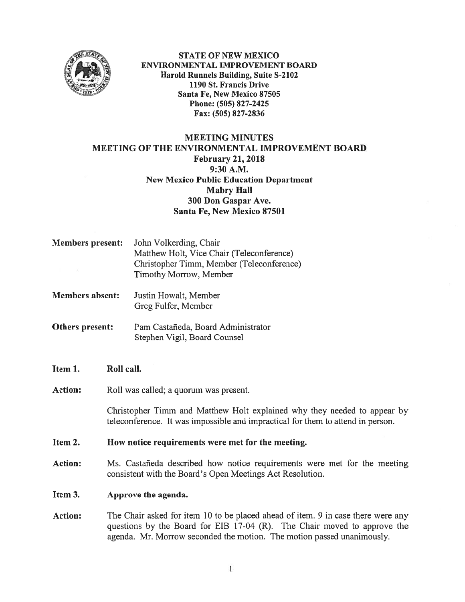

STATE OF NEW MEXICO ENVIRONMENTAL IMPROVEMENT BOARD Harold Runnels Building, Suite S-2102 1190 St. Francis Drive Santa Fe, New Mexico \$7505 Phone: (505) 827-2425 Fax: (505) 827-2836

# MEETING MINUTES MEETING OF THE ENVIRONMENTAL IMPROVEMENT BOARD February 21, 2018 9:30 A.M. New Mexico Public Education Department Mabry Hall 300 Don Gaspar Ave. Santa Fe, New Mexico 87501

| <b>Members present:</b> | John Volkerding, Chair                    |
|-------------------------|-------------------------------------------|
|                         | Matthew Holt, Vice Chair (Teleconference) |
|                         | Christopher Timm, Member (Teleconference) |
|                         | Timothy Morrow, Member                    |

Justin Howalt, Member Greg Fulfer, Member Members absent:

Pam Castañeda, Board Administrator Stephen Vigil, Board Counsel Others present:

### Item 1. Roll call.

Action: Roll was called; a quorum was present.

Christopher Timm and Matthew Holt explained why they needed to appear by teleconference. It was impossible and impractical for them to attend in person.

### Item 2. How notice requirements were met for the meeting.

Action: Ms. Castañeda described how notice requirements were met for the meeting consistent with the Board's Open Meetings Act Resolution.

## Item 3. Approve the agenda.

Action: The Chair asked for item 10 to be placed ahead of item. 9 in case there were any questions by the Board for EIB 17-04 (R). The Chair moved to approve the agenda. Mr. Morrow seconded the motion. The motion passed unanimously.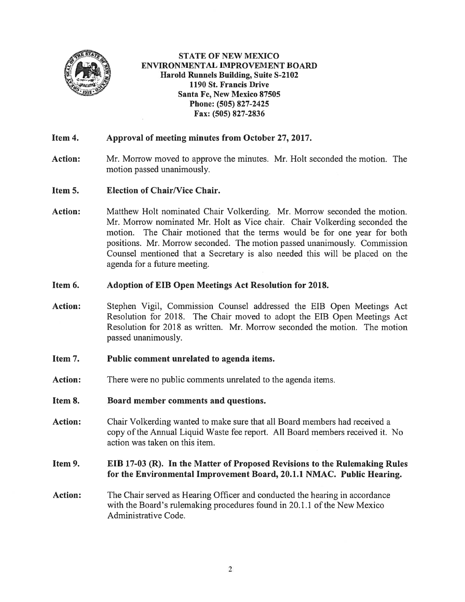

STATE OF NEW MEXICO ENVIRONMENTAL IMPROVEMENT BOARD Harold Runnels Building, Suite S-2102 1190 St. Francis Drive Santa Fe, New Mexico 87505 Phone: (505) 827-2425 Fax: (505) 827-2836

## Item 4. Approval of meeting minutes from October 27, 2017.

- Action: Mr. Morrow moved to approve the minutes. Mr. Holt seconded the motion. The motion passed unanimously.
- Item 5. Election of Chair/Vice Chair.
- Action: Matthew Holt nominated Chair Volkerding. Mr. Morrow seconded the motion. Mr. Morrow nominated Mr. Holt as Vice chair. Chair Volkerding seconded the motion. The Chair motioned that the terms would be for one year for both positions. Mr. Morrow seconded. The motion passed unanimously. Commission Counsel mentioned that <sup>a</sup> Secretary is also needed this will be placed on the agenda for <sup>a</sup> future meeting.

#### Item 6. Adoption of EIB Open Meetings Act Resolution for 2018.

Action: Stephen Vigil, Commission Counsel addressed the EIB Open Meetings Act Resolution for 2018. The Chair moved to adopt the EIB Open Meetings Act Resolution for 2018 as written. Mr. Morrow seconded the motion. The motion passed unanimously.

#### Item 7. Public comment unrelated to agenda items.

- Action: There were no public comments unrelated to the agenda items.
- Item 8. Board member comments and questions.
- Action: Chair Volkerding wanted to make sure that all Board members had received <sup>a</sup> copy of the Annual Liquid Waste fee report. All Board members received it. No action was taken on this item.

### Item 9. EIB 17-03 (R). In the Matter of Proposed Revisions to the Rulemaking Rules for the Environmental Improvement Board, 20.1.1 NMAC. Public Hearing.

Action: The Chair served as Hearing Officer and conducted the hearing in accordance with the Board's rulemaking procedures found in 20.1.1 of the New Mexico Administrative Code.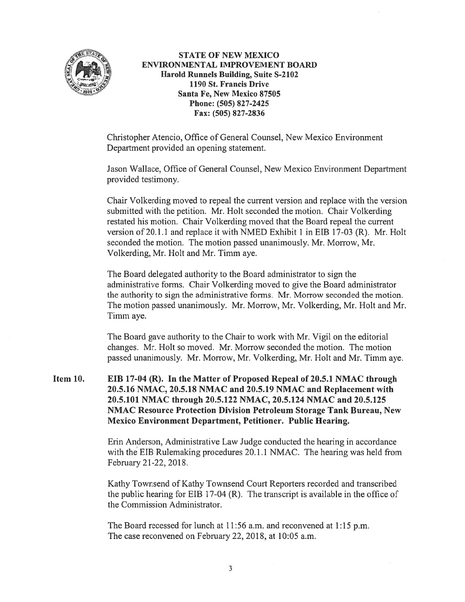

STATE Of NEW MEXICO ENVIRONMENTAL IMPROVEMENT BOARD Harold Runnels Building, Suite 5-2102 1190 St. Francis Drive Santa Fe, New Mexico \$7505 Phone: (505) 827-2425 fax: (505) 827-2836

Christopher Atencio, Office of General Counsel, New Mexico Environment Department provided an opening statement.

Jason Wallace, Office of General Counsel, New Mexico Environment Department provided testimony.

Chair Volkerding moved to repeal the current version and replace with the version submitted with the petition. Mr. Holt seconded the motion. Chair Volkerding restated his motion. Chair Volkerding moved that the Board repeal the current version of 20.1.1 and replace it with NMED Exhibit 1 in EIB 17-03 (R). Mr. Holt seconded the motion. The motion passed unanimously. Mr. Morrow, Mr. Volkerding, Mr. Holt and Mr. Timm aye.

The Board delegated authority to the Board administrator to sign the administrative forms. Chair Volkerding moved to give the Board administrator the authority to sign the administrative forms. Mr. Morrow seconded the motion. The motion passed unanimously. Mr. Morrow, Mr. Volkerding, Mr. Holt and Mr. Timm aye.

The Board gave authority to the Chair to work with Mr. Vigil on the editorial changes. Mr. Holt so moved. Mr. Morrow seconded the motion. The motion passed unanimously. Mr. Morrow, Mr. Volkerding, Mr. Holt and Mr. Timm aye.

Item 10. EIB 17-04 (R). In the Matter of Proposed Repeal of 20.5.1 NMAC through 20.5.16 NMAC, 20.5.18 NMAC and 20.5.19 NMAC and Replacement with 20.5.101 NMAC through 20.5.122 NMAC, 20.5.124 NMAC and 20.5.125 NMAC Resource Protection Division Petroleum Storage Tank Bureau, New Mexico Environment Department, Petitioner. Public Hearing.

> Erin Anderson, Administrative Law Judge conducted the hearing in accordance with the EIB Rulemaking procedures 20.1.1 NMAC. The hearing was held from february 21-22, 2018.

Kathy Townsend of Kathy Townsend Court Reporters recorded and transcribed the public hearing for EIB 17-04 (R). The transcript is available in the office of the Commission Administrator.

The Board recessed for lunch at 11:56 a.m. and reconvened at 1:15 p.m. The case reconvened on February 22, 2018, at 10:05 a.m.